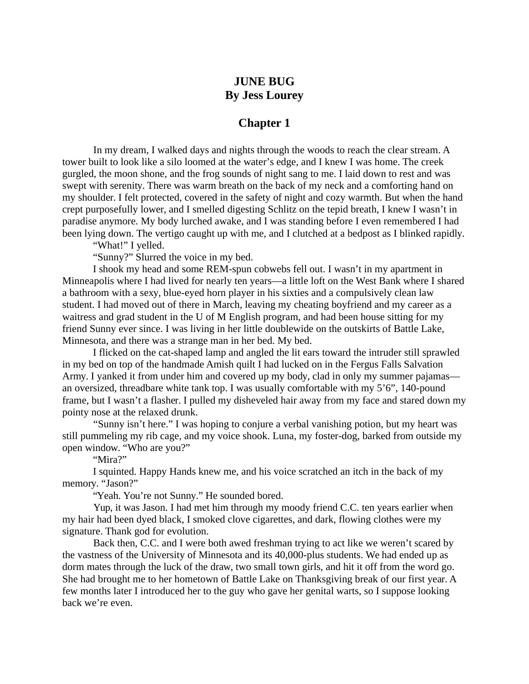## **JUNE BUG By Jess Lourey**

## **Chapter 1**

In my dream, I walked days and nights through the woods to reach the clear stream. A tower built to look like a silo loomed at the water's edge, and I knew I was home. The creek gurgled, the moon shone, and the frog sounds of night sang to me. I laid down to rest and was swept with serenity. There was warm breath on the back of my neck and a comforting hand on my shoulder. I felt protected, covered in the safety of night and cozy warmth. But when the hand crept purposefully lower, and I smelled digesting Schlitz on the tepid breath, I knew I wasn't in paradise anymore. My body lurched awake, and I was standing before I even remembered I had been lying down. The vertigo caught up with me, and I clutched at a bedpost as I blinked rapidly.

"What!" I yelled.

"Sunny?" Slurred the voice in my bed.

I shook my head and some REM-spun cobwebs fell out. I wasn't in my apartment in Minneapolis where I had lived for nearly ten years—a little loft on the West Bank where I shared a bathroom with a sexy, blue-eyed horn player in his sixties and a compulsively clean law student. I had moved out of there in March, leaving my cheating boyfriend and my career as a waitress and grad student in the U of M English program, and had been house sitting for my friend Sunny ever since. I was living in her little doublewide on the outskirts of Battle Lake, Minnesota, and there was a strange man in her bed. My bed.

I flicked on the cat-shaped lamp and angled the lit ears toward the intruder still sprawled in my bed on top of the handmade Amish quilt I had lucked on in the Fergus Falls Salvation Army. I yanked it from under him and covered up my body, clad in only my summer pajamas an oversized, threadbare white tank top. I was usually comfortable with my 5'6", 140-pound frame, but I wasn't a flasher. I pulled my disheveled hair away from my face and stared down my pointy nose at the relaxed drunk.

"Sunny isn't here." I was hoping to conjure a verbal vanishing potion, but my heart was still pummeling my rib cage, and my voice shook. Luna, my foster-dog, barked from outside my open window. "Who are you?"

"Mira?"

I squinted. Happy Hands knew me, and his voice scratched an itch in the back of my memory. "Jason?"

"Yeah. You're not Sunny." He sounded bored.

Yup, it was Jason. I had met him through my moody friend C.C. ten years earlier when my hair had been dyed black, I smoked clove cigarettes, and dark, flowing clothes were my signature. Thank god for evolution.

Back then, C.C. and I were both awed freshman trying to act like we weren't scared by the vastness of the University of Minnesota and its 40,000-plus students. We had ended up as dorm mates through the luck of the draw, two small town girls, and hit it off from the word go. She had brought me to her hometown of Battle Lake on Thanksgiving break of our first year. A few months later I introduced her to the guy who gave her genital warts, so I suppose looking back we're even.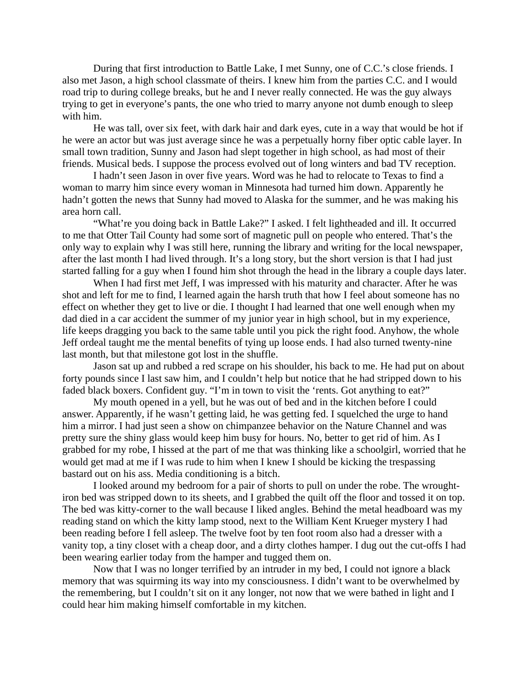During that first introduction to Battle Lake, I met Sunny, one of C.C.'s close friends. I also met Jason, a high school classmate of theirs. I knew him from the parties C.C. and I would road trip to during college breaks, but he and I never really connected. He was the guy always trying to get in everyone's pants, the one who tried to marry anyone not dumb enough to sleep with him.

He was tall, over six feet, with dark hair and dark eyes, cute in a way that would be hot if he were an actor but was just average since he was a perpetually horny fiber optic cable layer. In small town tradition, Sunny and Jason had slept together in high school, as had most of their friends. Musical beds. I suppose the process evolved out of long winters and bad TV reception.

I hadn't seen Jason in over five years. Word was he had to relocate to Texas to find a woman to marry him since every woman in Minnesota had turned him down. Apparently he hadn't gotten the news that Sunny had moved to Alaska for the summer, and he was making his area horn call.

"What're you doing back in Battle Lake?" I asked. I felt lightheaded and ill. It occurred to me that Otter Tail County had some sort of magnetic pull on people who entered. That's the only way to explain why I was still here, running the library and writing for the local newspaper, after the last month I had lived through. It's a long story, but the short version is that I had just started falling for a guy when I found him shot through the head in the library a couple days later.

When I had first met Jeff, I was impressed with his maturity and character. After he was shot and left for me to find, I learned again the harsh truth that how I feel about someone has no effect on whether they get to live or die. I thought I had learned that one well enough when my dad died in a car accident the summer of my junior year in high school, but in my experience, life keeps dragging you back to the same table until you pick the right food. Anyhow, the whole Jeff ordeal taught me the mental benefits of tying up loose ends. I had also turned twenty-nine last month, but that milestone got lost in the shuffle.

Jason sat up and rubbed a red scrape on his shoulder, his back to me. He had put on about forty pounds since I last saw him, and I couldn't help but notice that he had stripped down to his faded black boxers. Confident guy. "I'm in town to visit the 'rents. Got anything to eat?"

My mouth opened in a yell, but he was out of bed and in the kitchen before I could answer. Apparently, if he wasn't getting laid, he was getting fed. I squelched the urge to hand him a mirror. I had just seen a show on chimpanzee behavior on the Nature Channel and was pretty sure the shiny glass would keep him busy for hours. No, better to get rid of him. As I grabbed for my robe, I hissed at the part of me that was thinking like a schoolgirl, worried that he would get mad at me if I was rude to him when I knew I should be kicking the trespassing bastard out on his ass. Media conditioning is a bitch.

I looked around my bedroom for a pair of shorts to pull on under the robe. The wroughtiron bed was stripped down to its sheets, and I grabbed the quilt off the floor and tossed it on top. The bed was kitty-corner to the wall because I liked angles. Behind the metal headboard was my reading stand on which the kitty lamp stood, next to the William Kent Krueger mystery I had been reading before I fell asleep. The twelve foot by ten foot room also had a dresser with a vanity top, a tiny closet with a cheap door, and a dirty clothes hamper. I dug out the cut-offs I had been wearing earlier today from the hamper and tugged them on.

Now that I was no longer terrified by an intruder in my bed, I could not ignore a black memory that was squirming its way into my consciousness. I didn't want to be overwhelmed by the remembering, but I couldn't sit on it any longer, not now that we were bathed in light and I could hear him making himself comfortable in my kitchen.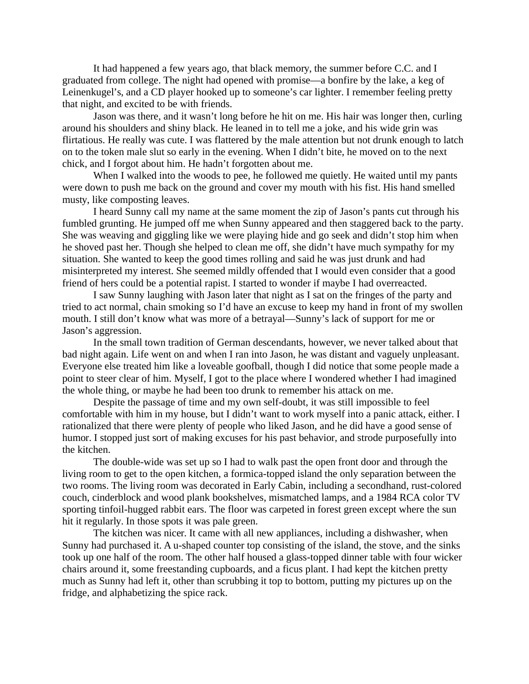It had happened a few years ago, that black memory, the summer before C.C. and I graduated from college. The night had opened with promise—a bonfire by the lake, a keg of Leinenkugel's, and a CD player hooked up to someone's car lighter. I remember feeling pretty that night, and excited to be with friends.

Jason was there, and it wasn't long before he hit on me. His hair was longer then, curling around his shoulders and shiny black. He leaned in to tell me a joke, and his wide grin was flirtatious. He really was cute. I was flattered by the male attention but not drunk enough to latch on to the token male slut so early in the evening. When I didn't bite, he moved on to the next chick, and I forgot about him. He hadn't forgotten about me.

When I walked into the woods to pee, he followed me quietly. He waited until my pants were down to push me back on the ground and cover my mouth with his fist. His hand smelled musty, like composting leaves.

I heard Sunny call my name at the same moment the zip of Jason's pants cut through his fumbled grunting. He jumped off me when Sunny appeared and then staggered back to the party. She was weaving and giggling like we were playing hide and go seek and didn't stop him when he shoved past her. Though she helped to clean me off, she didn't have much sympathy for my situation. She wanted to keep the good times rolling and said he was just drunk and had misinterpreted my interest. She seemed mildly offended that I would even consider that a good friend of hers could be a potential rapist. I started to wonder if maybe I had overreacted.

I saw Sunny laughing with Jason later that night as I sat on the fringes of the party and tried to act normal, chain smoking so I'd have an excuse to keep my hand in front of my swollen mouth. I still don't know what was more of a betrayal—Sunny's lack of support for me or Jason's aggression.

In the small town tradition of German descendants, however, we never talked about that bad night again. Life went on and when I ran into Jason, he was distant and vaguely unpleasant. Everyone else treated him like a loveable goofball, though I did notice that some people made a point to steer clear of him. Myself, I got to the place where I wondered whether I had imagined the whole thing, or maybe he had been too drunk to remember his attack on me.

Despite the passage of time and my own self-doubt, it was still impossible to feel comfortable with him in my house, but I didn't want to work myself into a panic attack, either. I rationalized that there were plenty of people who liked Jason, and he did have a good sense of humor. I stopped just sort of making excuses for his past behavior, and strode purposefully into the kitchen.

The double-wide was set up so I had to walk past the open front door and through the living room to get to the open kitchen, a formica-topped island the only separation between the two rooms. The living room was decorated in Early Cabin, including a secondhand, rust-colored couch, cinderblock and wood plank bookshelves, mismatched lamps, and a 1984 RCA color TV sporting tinfoil-hugged rabbit ears. The floor was carpeted in forest green except where the sun hit it regularly. In those spots it was pale green.

The kitchen was nicer. It came with all new appliances, including a dishwasher, when Sunny had purchased it. A u-shaped counter top consisting of the island, the stove, and the sinks took up one half of the room. The other half housed a glass-topped dinner table with four wicker chairs around it, some freestanding cupboards, and a ficus plant. I had kept the kitchen pretty much as Sunny had left it, other than scrubbing it top to bottom, putting my pictures up on the fridge, and alphabetizing the spice rack.